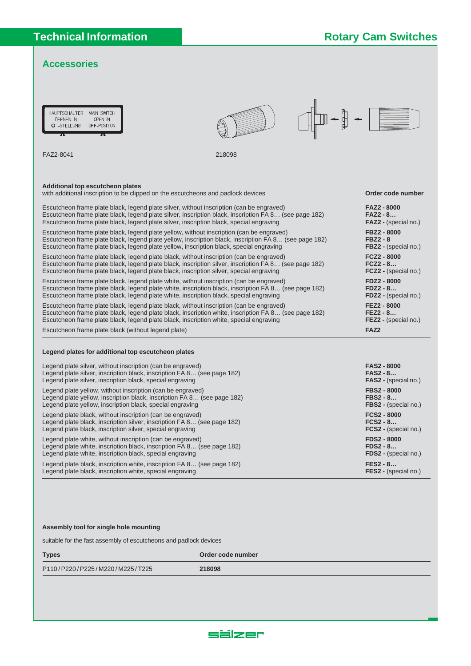### **Accessories**

| MAIN SWITCH<br><b>HAUPTSCHALTER</b><br>OPEN IN<br>ÖFFNEN IN<br>O -STELLUNG<br>OFF-POSITION<br>π<br>π                                                                                                                                                                                         |        |                                                                 |
|----------------------------------------------------------------------------------------------------------------------------------------------------------------------------------------------------------------------------------------------------------------------------------------------|--------|-----------------------------------------------------------------|
| FAZ2-8041                                                                                                                                                                                                                                                                                    | 218098 |                                                                 |
| Additional top escutcheon plates                                                                                                                                                                                                                                                             |        |                                                                 |
| with additional inscription to be clipped on the escutcheons and padlock devices                                                                                                                                                                                                             |        | Order code number                                               |
| Escutcheon frame plate black, legend plate silver, without inscription (can be engraved)<br>Escutcheon frame plate black, legend plate silver, inscription black, inscription FA 8 (see page 182)<br>Escutcheon frame plate black, legend plate silver, inscription black, special engraving |        | <b>FAZ2 - 8000</b><br>$FAZ2 - 8$<br><b>FAZ2</b> - (special no.) |
| Escutcheon frame plate black, legend plate yellow, without inscription (can be engraved)<br>Escutcheon frame plate black, legend plate yellow, inscription black, inscription FA 8 (see page 182)<br>Escutcheon frame plate black, legend plate yellow, inscription black, special engraving |        | FBZ2 - 8000<br><b>FBZ2 - 8</b><br>FBZ2 - (special no.)          |
| Escutcheon frame plate black, legend plate black, without inscription (can be engraved)<br>Escutcheon frame plate black, legend plate black, inscription silver, inscription FA 8 (see page 182)<br>Escutcheon frame plate black, legend plate black, inscription silver, special engraving  |        | <b>FCZ2 - 8000</b><br>$FCZ2 - 8$<br><b>FCZ2</b> - (special no.) |
| Escutcheon frame plate black, legend plate white, without inscription (can be engraved)<br>Escutcheon frame plate black, legend plate white, inscription black, inscription FA 8 (see page 182)<br>Escutcheon frame plate black, legend plate white, inscription black, special engraving    |        | <b>FDZ2 - 8000</b><br>$FDZ2 - 8$<br>FDZ2 - (special no.)        |
| Escutcheon frame plate black, legend plate black, without inscription (can be engraved)<br>Escutcheon frame plate black, legend plate black, inscription white, inscription FA 8 (see page 182)<br>Escutcheon frame plate black, legend plate black, inscription white, special engraving    |        | FEZ2 - 8000<br>$FEZ2 - 8$<br><b>FEZ2</b> - (special no.)        |
| Escutcheon frame plate black (without legend plate)                                                                                                                                                                                                                                          |        | FAZ <sub>2</sub>                                                |
| Legend plates for additional top escutcheon plates                                                                                                                                                                                                                                           |        |                                                                 |

| Legend plate silver, without inscription (can be engraved)              | <b>FAS2-8000</b>            |
|-------------------------------------------------------------------------|-----------------------------|
| Legend plate silver, inscription black, inscription FA 8 (see page 182) | $FAS2 - 8$                  |
| Legend plate silver, inscription black, special engraving               | <b>FAS2 - (special no.)</b> |
| Legend plate yellow, without inscription (can be engraved)              | <b>FBS2 - 8000</b>          |
| Legend plate yellow, inscription black, inscription FA 8 (see page 182) | $FBS2 - 8$                  |
| Legend plate yellow, inscription black, special engraving               | FBS2 - (special no.)        |
| Legend plate black, without inscription (can be engraved)               | <b>FCS2 - 8000</b>          |
| Legend plate black, inscription silver, inscription FA 8 (see page 182) | $FCS2 - 8$                  |
| Legend plate black, inscription silver, special engraving               | <b>FCS2</b> - (special no.) |
| Legend plate white, without inscription (can be engraved)               | <b>FDS2 - 8000</b>          |
| Legend plate white, inscription black, inscription FA 8 (see page 182)  | $FDS2 - 8$                  |
| Legend plate white, inscription black, special engraving                | FDS2 - (special no.)        |
| Legend plate black, inscription white, inscription FA 8 (see page 182)  | $FES2 - 8$                  |
| Legend plate black, inscription white, special engraving                | <b>FES2</b> - (special no.) |

### **Assembly tool for single hole mounting**

suitable for the fast assembly of escutcheons and padlock devices

**Types Order code number** P110 / P220 / P225 / M220 / M225 / T225 **218098**

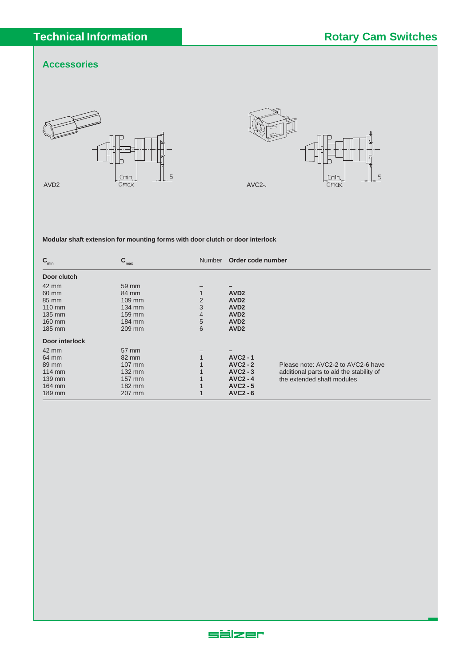## **Accessories**





**Modular shaft extension for mounting forms with door clutch or door interlock**

| $\mathbf{C}_{\min}$ | $C_{\text{max}}$ | <b>Number</b> | Order code number |                                          |
|---------------------|------------------|---------------|-------------------|------------------------------------------|
| Door clutch         |                  |               |                   |                                          |
| $42 \text{ mm}$     | 59 mm            |               |                   |                                          |
| 60 mm               | 84 mm            |               | AVD <sub>2</sub>  |                                          |
| 85 mm               | $109$ mm         | 2             | AVD <sub>2</sub>  |                                          |
| 110 mm              | 134 mm           | 3             | AVD <sub>2</sub>  |                                          |
| 135 mm              | 159 mm           | 4             | AVD <sub>2</sub>  |                                          |
| 160 mm              | 184 mm           | 5             | AV <sub>D</sub> 2 |                                          |
| 185 mm              | 209 mm           | 6             | AVD <sub>2</sub>  |                                          |
| Door interlock      |                  |               |                   |                                          |
| 42 mm               | 57 mm            |               |                   |                                          |
| 64 mm               | 82 mm            |               | <b>AVC2-1</b>     |                                          |
| 89 mm               | 107 mm           |               | $AVC2 - 2$        | Please note: AVC2-2 to AVC2-6 have       |
| $114 \text{ mm}$    | $132 \text{ mm}$ |               | $AVC2 - 3$        | additional parts to aid the stability of |
| 139 mm              | 157 mm           |               | $AVC2 - 4$        | the extended shaft modules               |
| 164 mm              | 182 mm           |               | $AVC2 - 5$        |                                          |
| 189 mm              | 207 mm           |               | $AVC2 - 6$        |                                          |

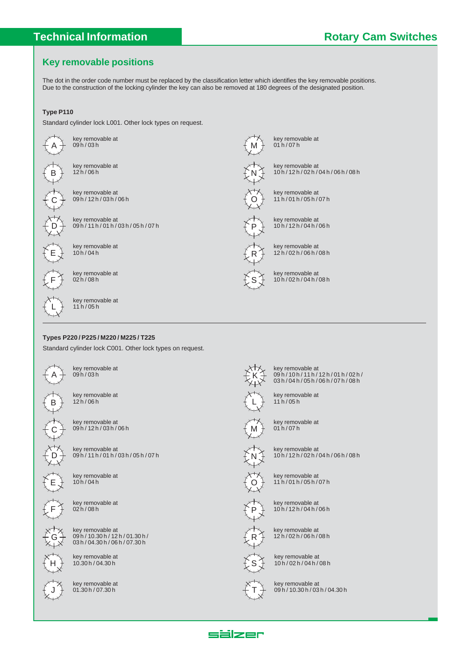# **Key removable positions**

The dot in the order code number must be replaced by the classification letter which identifies the key removable positions. Due to the construction of the locking cylinder the key can also be removed at 180 degrees of the designated position.

### **Type P110**

Standard cylinder lock L001. Other lock types on request.



key removable at 11 h / 05 h

#### **Types P220 / P225 / M220 / M225 / T225**

Standard cylinder lock C001. Other lock types on request.



L

key removable at 09 h / 03 h



key removable at 12 h / 06 h



key removable at 09 h / 12 h / 03 h / 06 h



key removable at 09 h / 11 h / 01 h / 03 h / 05 h / 07 h



key removable at 10 h / 04 h



key removable at 02 h / 08 h

key removable at



09 h / 10.30 h / 12 h / 01.30 h / 03 h / 04.30 h / 06 h / 07.30 h key removable at



10.30 h / 04.30 h key removable at



key removable at 01 h / 07 h

M

N

O

P

R

S

key removable at 10 h / 12 h / 02 h / 04 h / 06 h / 08 h

key removable at 11 h / 01 h / 05 h / 07 h



key removable at 12 h / 02 h / 06 h / 08 h

key removable at 10 h / 02 h / 04 h / 08 h

key removable at 09 h / 10 h / 11 h / 12 h / 01 h / 02 h / 03 h / 04 h / 05 h / 06 h / 07 h / 08 h



K

key removable at 11 h / 05 h



key removable at 01 h / 07 h



key removable at 10 h / 12 h / 02 h / 04 h / 06 h / 08 h



key removable at 11 h / 01 h / 05 h / 07 h



key removable at 10 h / 12 h / 04 h / 06 h



key removable at 12 h / 02 h / 06 h / 08 h



key removable at 10 h / 02 h / 04 h / 08 h

T key removable at

09 h / 10.30 h / 03 h / 04.30 h



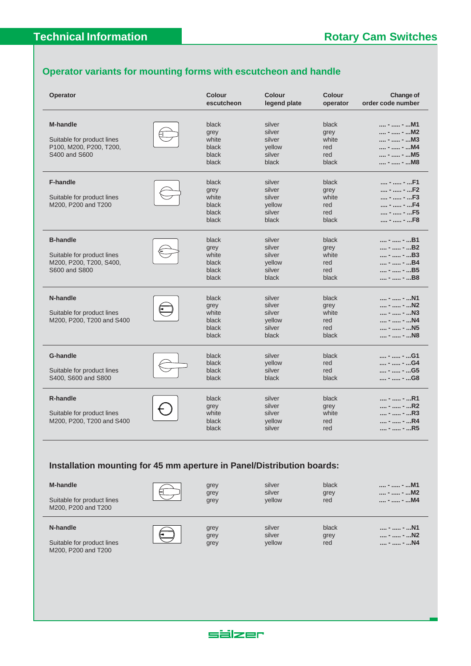## **Operator variants for mounting forms with escutcheon and handle**

| Operator                                                                                  | <b>Colour</b><br>escutcheon                       | Colour<br>legend plate                                  | <b>Colour</b><br>operator                     | <b>Change of</b><br>order code number                                |
|-------------------------------------------------------------------------------------------|---------------------------------------------------|---------------------------------------------------------|-----------------------------------------------|----------------------------------------------------------------------|
| <b>M-handle</b><br>Suitable for product lines<br>P100, M200, P200, T200,<br>S400 and S600 | black<br>grey<br>white<br>black<br>black<br>black | silver<br>silver<br>silver<br>yellow<br>silver<br>black | black<br>grey<br>white<br>red<br>red<br>black | -  - M1<br>-  - M2<br>-  - M3<br>-  - M4<br>-  - M5<br>-  - M8       |
| <b>F-handle</b><br>Suitable for product lines<br>M200, P200 and T200                      | black<br>grey<br>white<br>black<br>black<br>black | silver<br>silver<br>silver<br>vellow<br>silver<br>black | black<br>grey<br>white<br>red<br>red<br>black | -  - F1<br>-  - F2<br>$ -  -  - F3$<br>-  - F4<br>-  - F5<br>-  - F8 |
| <b>B-handle</b><br>Suitable for product lines<br>M200, P200, T200, S400,<br>S600 and S800 | black<br>grey<br>white<br>black<br>black<br>black | silver<br>silver<br>silver<br>yellow<br>silver<br>black | black<br>grey<br>white<br>red<br>red<br>black | -  - B1<br>-  - B2<br>-  - B3<br>-  - B4<br>-  - B5<br>-  - B8       |
| N-handle<br>Suitable for product lines<br>M200, P200, T200 and S400                       | black<br>grey<br>white<br>black<br>black<br>black | silver<br>silver<br>silver<br>yellow<br>silver<br>black | black<br>grey<br>white<br>red<br>red<br>black | -  - N1<br>-  - N2<br>-  - N3<br>-  - N4<br>-  - N5<br>-  - N8       |
| <b>G-handle</b><br>Suitable for product lines<br>S400, S600 and S800                      | black<br>black<br>black<br>black                  | silver<br>yellow<br>silver<br>black                     | black<br>red<br>red<br>black                  | -  - G1<br>-  - G4<br>-  - G5<br>-  - G8                             |
| <b>R-handle</b><br>Suitable for product lines<br>M200, P200, T200 and S400                | black<br>grey<br>white<br>black<br>black          | silver<br>silver<br>silver<br>yellow<br>silver          | black<br>grey<br>white<br>red<br>red          | -  - R1<br>-  - R2<br>-  - R3<br>-  - R4<br>-  - R5                  |

## **Installation mounting for 45 mm aperture in Panel/Distribution boards:**

| <b>M-handle</b>            | grey | silver | black | -  - M1      |
|----------------------------|------|--------|-------|--------------|
| Suitable for product lines | grey | silver | grey  | -  - M2      |
| M200, P200 and T200        | grey | vellow | rea   | …. - … - …M4 |

| $\mathbf{r}$ |  |  |
|--------------|--|--|
| ļ            |  |  |
|              |  |  |

| grey | silver | grey | -  - M2  |
|------|--------|------|----------|
| grey | yellow | red  | $ -  - $ |
|      |        |      |          |

| silver |  |
|--------|--|
| silver |  |

**N-handle** and the contract of the contract of the contract of the contract of the contract of the contract of the contract of the contract of the contract of the contract of the contract of the contract of the contract of vellow grey **.... - .... - ...N2**<br>yellow red **.... - .... - ...N4** 

Suitable for product lines **in the series of series** grey M200, P200 and T200